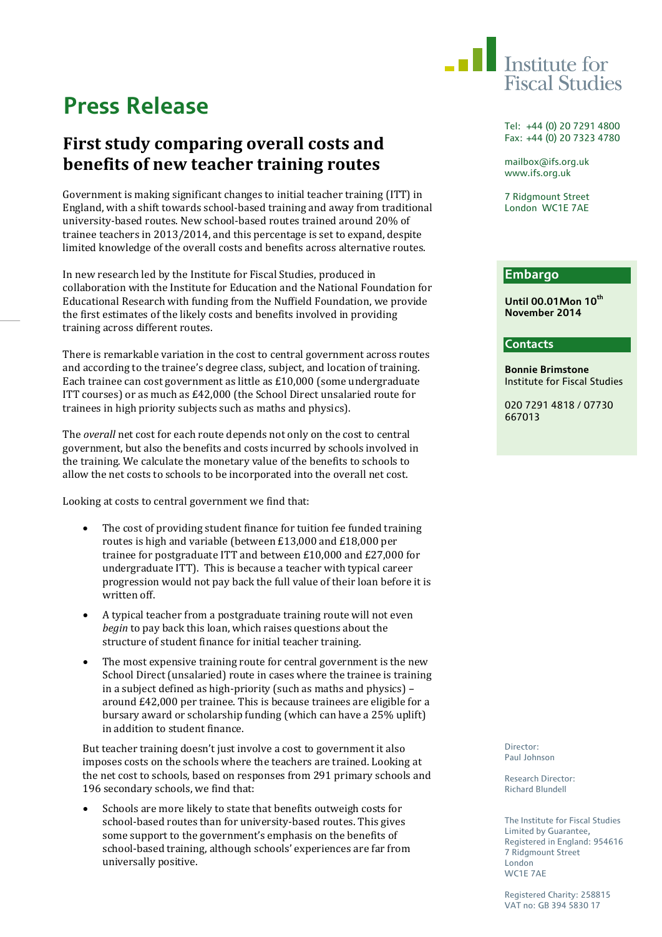

# **Press Release**

## **First study comparing overall costs and benefits of new teacher training routes**

Government is making significant changes to initial teacher training (ITT) in England, with a shift towards school-based training and away from traditional university-based routes. New school-based routes trained around 20% of trainee teachers in 2013/2014, and this percentage is set to expand, despite limited knowledge of the overall costs and benefits across alternative routes.

In new research led by the Institute for Fiscal Studies, produced in collaboration with the Institute for Education and the National Foundation for Educational Research with funding from the Nuffield Foundation, we provide the first estimates of the likely costs and benefits involved in providing training across different routes.

There is remarkable variation in the cost to central government across routes and according to the trainee's degree class, subject, and location of training. Each trainee can cost government as little as £10,000 (some undergraduate ITT courses) or as much as £42,000 (the School Direct unsalaried route for trainees in high priority subjects such as maths and physics).

The *overall* net cost for each route depends not only on the cost to central government, but also the benefits and costs incurred by schools involved in the training. We calculate the monetary value of the benefits to schools to allow the net costs to schools to be incorporated into the overall net cost.

Looking at costs to central government we find that:

- The cost of providing student finance for tuition fee funded training routes is high and variable (between £13,000 and £18,000 per trainee for postgraduate ITT and between £10,000 and £27,000 for undergraduate ITT). This is because a teacher with typical career progression would not pay back the full value of their loan before it is written off.
- A typical teacher from a postgraduate training route will not even *begin* to pay back this loan, which raises questions about the structure of student finance for initial teacher training.
- The most expensive training route for central government is the new School Direct (unsalaried) route in cases where the trainee is training in a subject defined as high-priority (such as maths and physics) – around £42,000 per trainee. This is because trainees are eligible for a bursary award or scholarship funding (which can have a 25% uplift) in addition to student finance.

But teacher training doesn't just involve a cost to government it also imposes costs on the schools where the teachers are trained. Looking at the net cost to schools, based on responses from 291 primary schools and 196 secondary schools, we find that:

Schools are more likely to state that benefits outweigh costs for school-based routes than for university-based routes. This gives some support to the government's emphasis on the benefits of school-based training, although schools' experiences are far from universally positive.

Tel: +44 (0) 20 7291 4800 Fax: +44 (0) 20 7323 4780

mailbox@ifs.org.uk www.ifs.org.uk

7 Ridgmount Street London WC1E 7AE

### **Embargo**

**Until 00.01Mon 10th November 2014**

#### **Contacts**

**Bonnie Brimstone** Institute for Fiscal Studies

020 7291 4818 / 07730 667013

Director: Paul Johnson

Research Director: Richard Blundell

The Institute for Fiscal Studies Limited by Guarantee, Registered in England: 954616 7 Ridgmount Street London WC1E 7AE

Registered Charity: 258815 VAT no: GB 394 5830 17